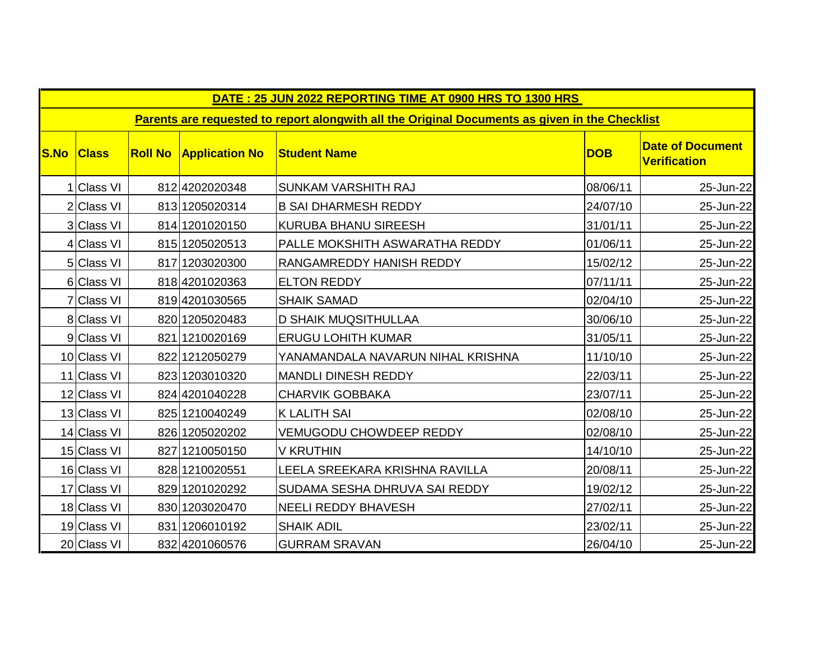| DATE: 25 JUN 2022 REPORTING TIME AT 0900 HRS TO 1300 HRS                                       |              |                |                       |                                   |            |                                                |  |
|------------------------------------------------------------------------------------------------|--------------|----------------|-----------------------|-----------------------------------|------------|------------------------------------------------|--|
| Parents are requested to report alongwith all the Original Documents as given in the Checklist |              |                |                       |                                   |            |                                                |  |
| <b>S.No</b>                                                                                    | <b>Class</b> | <b>Roll No</b> | <b>Application No</b> | <b>Student Name</b>               | <b>DOB</b> | <b>Date of Document</b><br><b>Verification</b> |  |
|                                                                                                | 1 Class VI   |                | 812 4202020348        | SUNKAM VARSHITH RAJ               | 08/06/11   | 25-Jun-22                                      |  |
|                                                                                                | 2 Class VI   |                | 813 1205020314        | <b>B SAI DHARMESH REDDY</b>       | 24/07/10   | 25-Jun-22                                      |  |
|                                                                                                | 3 Class VI   |                | 814 1201020150        | <b>KURUBA BHANU SIREESH</b>       | 31/01/11   | 25-Jun-22                                      |  |
|                                                                                                | 4 Class VI   |                | 815 1205020513        | PALLE MOKSHITH ASWARATHA REDDY    | 01/06/11   | 25-Jun-22                                      |  |
|                                                                                                | 5 Class VI   |                | 817 1203020300        | RANGAMREDDY HANISH REDDY          | 15/02/12   | 25-Jun-22                                      |  |
|                                                                                                | 6 Class VI   |                | 818 4201020363        | <b>ELTON REDDY</b>                | 07/11/11   | 25-Jun-22                                      |  |
|                                                                                                | 7 Class VI   |                | 819 4201030565        | <b>SHAIK SAMAD</b>                | 02/04/10   | 25-Jun-22                                      |  |
|                                                                                                | 8 Class VI   |                | 820 1205020483        | <b>D SHAIK MUQSITHULLAA</b>       | 30/06/10   | 25-Jun-22                                      |  |
|                                                                                                | 9 Class VI   |                | 821 1210020169        | <b>ERUGU LOHITH KUMAR</b>         | 31/05/11   | 25-Jun-22                                      |  |
|                                                                                                | 10 Class VI  |                | 822 1212050279        | YANAMANDALA NAVARUN NIHAL KRISHNA | 11/10/10   | 25-Jun-22                                      |  |
|                                                                                                | 11 Class VI  |                | 823 1203010320        | <b>MANDLI DINESH REDDY</b>        | 22/03/11   | 25-Jun-22                                      |  |
|                                                                                                | 12 Class VI  |                | 824 4201040228        | <b>CHARVIK GOBBAKA</b>            | 23/07/11   | 25-Jun-22                                      |  |
|                                                                                                | 13 Class VI  |                | 825 1210040249        | <b>K LALITH SAI</b>               | 02/08/10   | 25-Jun-22                                      |  |
|                                                                                                | 14 Class VI  |                | 826 1205020202        | <b>VEMUGODU CHOWDEEP REDDY</b>    | 02/08/10   | 25-Jun-22                                      |  |
|                                                                                                | 15 Class VI  |                | 827 1210050150        | <b>V KRUTHIN</b>                  | 14/10/10   | 25-Jun-22                                      |  |
|                                                                                                | 16 Class VI  |                | 828 1210020551        | LEELA SREEKARA KRISHNA RAVILLA    | 20/08/11   | 25-Jun-22                                      |  |
|                                                                                                | 17 Class VI  |                | 829 1201020292        | SUDAMA SESHA DHRUVA SAI REDDY     | 19/02/12   | 25-Jun-22                                      |  |
|                                                                                                | 18 Class VI  |                | 830 1203020470        | <b>NEELI REDDY BHAVESH</b>        | 27/02/11   | 25-Jun-22                                      |  |
|                                                                                                | 19 Class VI  |                | 831 1206010192        | <b>SHAIK ADIL</b>                 | 23/02/11   | 25-Jun-22                                      |  |
|                                                                                                | 20 Class VI  |                | 832 4201060576        | <b>GURRAM SRAVAN</b>              | 26/04/10   | 25-Jun-22                                      |  |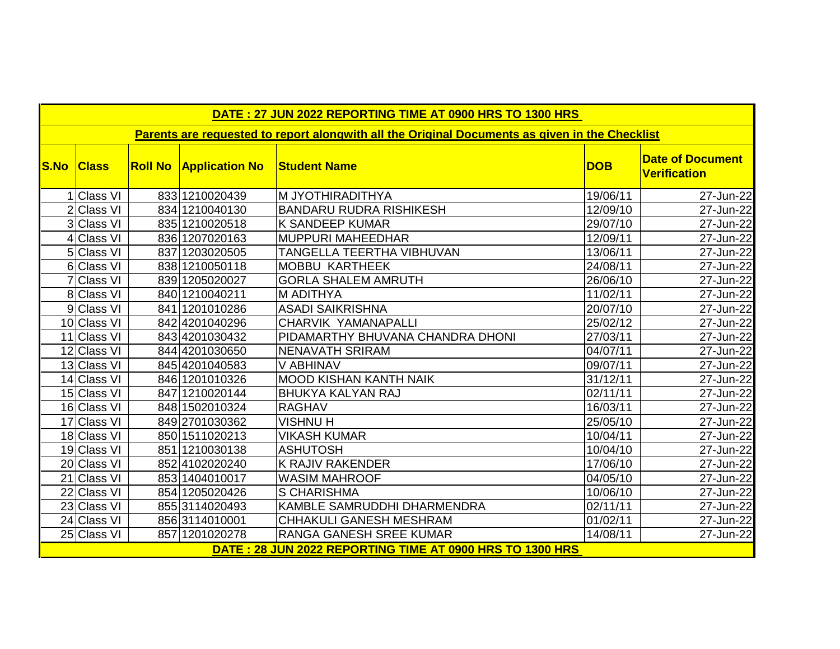| DATE: 27 JUN 2022 REPORTING TIME AT 0900 HRS TO 1300 HRS                                       |              |                |                       |                                  |            |                                                |
|------------------------------------------------------------------------------------------------|--------------|----------------|-----------------------|----------------------------------|------------|------------------------------------------------|
| Parents are requested to report alongwith all the Original Documents as given in the Checklist |              |                |                       |                                  |            |                                                |
| <b>S.No</b>                                                                                    | <b>Class</b> | <b>Roll No</b> | <b>Application No</b> | <b>Student Name</b>              | <b>DOB</b> | <b>Date of Document</b><br><b>Verification</b> |
|                                                                                                | 1 Class VI   |                | 833 1210020439        | <b>M JYOTHIRADITHYA</b>          | 19/06/11   | 27-Jun-22                                      |
|                                                                                                | 2 Class VI   |                | 834 1210040130        | <b>BANDARU RUDRA RISHIKESH</b>   | 12/09/10   | 27-Jun-22                                      |
|                                                                                                | 3 Class VI   |                | 835 1210020518        | <b>K SANDEEP KUMAR</b>           | 29/07/10   | 27-Jun-22                                      |
|                                                                                                | 4 Class VI   |                | 836 12070 2016 3      | <b>MUPPURI MAHEEDHAR</b>         | 12/09/11   | 27-Jun-22                                      |
|                                                                                                | 5 Class VI   |                | 837 1203020505        | TANGELLA TEERTHA VIBHUVAN        | 13/06/11   | 27-Jun-22                                      |
|                                                                                                | 6 Class VI   |                | 838 1210050118        | <b>MOBBU KARTHEEK</b>            | 24/08/11   | 27-Jun-22                                      |
|                                                                                                | 7 Class VI   |                | 839 1205020027        | <b>GORLA SHALEM AMRUTH</b>       | 26/06/10   | 27-Jun-22                                      |
|                                                                                                | 8 Class VI   |                | 840 1210040211        | M ADITHYA                        | 11/02/11   | 27-Jun-22                                      |
|                                                                                                | 9 Class VI   |                | 841 1201010286        | <b>ASADI SAIKRISHNA</b>          | 20/07/10   | 27-Jun-22                                      |
|                                                                                                | 10 Class VI  |                | 842 4201040296        | CHARVIK YAMANAPALLI              | 25/02/12   | 27-Jun-22                                      |
|                                                                                                | 11 Class VI  |                | 843 4201030432        | PIDAMARTHY BHUVANA CHANDRA DHONI | 27/03/11   | 27-Jun-22                                      |
|                                                                                                | 12 Class VI  |                | 844 4201030650        | <b>NENAVATH SRIRAM</b>           | 04/07/11   | 27-Jun-22                                      |
|                                                                                                | 13 Class VI  |                | 845 4201040583        | V ABHINAV                        | 09/07/11   | 27-Jun-22                                      |
|                                                                                                | 14 Class VI  |                | 846 1201010326        | <b>MOOD KISHAN KANTH NAIK</b>    | 31/12/11   | 27-Jun-22                                      |
|                                                                                                | 15 Class VI  |                | 847 1210020144        | BHUKYA KALYAN RAJ                | 02/11/11   | 27-Jun-22                                      |
|                                                                                                | 16 Class VI  |                | 848 1502010324        | <b>RAGHAV</b>                    | 16/03/11   | 27-Jun-22                                      |
|                                                                                                | 17 Class VI  |                | 849 2701030362        | <b>VISHNU H</b>                  | 25/05/10   | 27-Jun-22                                      |
|                                                                                                | 18 Class VI  |                | 850 1511020213        | <b>VIKASH KUMAR</b>              | 10/04/11   | 27-Jun-22                                      |
|                                                                                                | 19 Class VI  |                | 851 1210030138        | <b>ASHUTOSH</b>                  | 10/04/10   | 27-Jun-22                                      |
|                                                                                                | 20 Class VI  |                | 852 4102020240        | K RAJIV RAKENDER                 | 17/06/10   | 27-Jun-22                                      |
|                                                                                                | 21 Class VI  |                | 853 1404010017        | <b>WASIM MAHROOF</b>             | 04/05/10   | 27-Jun-22                                      |
|                                                                                                | 22 Class VI  |                | 854 1205020426        | <b>S CHARISHMA</b>               | 10/06/10   | 27-Jun-22                                      |
|                                                                                                | 23 Class VI  |                | 855 3114020493        | KAMBLE SAMRUDDHI DHARMENDRA      | 02/11/11   | 27-Jun-22                                      |
|                                                                                                | 24 Class VI  |                | 856 3114010001        | <b>CHHAKULI GANESH MESHRAM</b>   | 01/02/11   | 27-Jun-22                                      |
|                                                                                                | 25 Class VI  |                | 857 1201020278        | RANGA GANESH SREE KUMAR          | 14/08/11   | 27-Jun-22                                      |
| DATE: 28 JUN 2022 REPORTING TIME AT 0900 HRS TO 1300 HRS                                       |              |                |                       |                                  |            |                                                |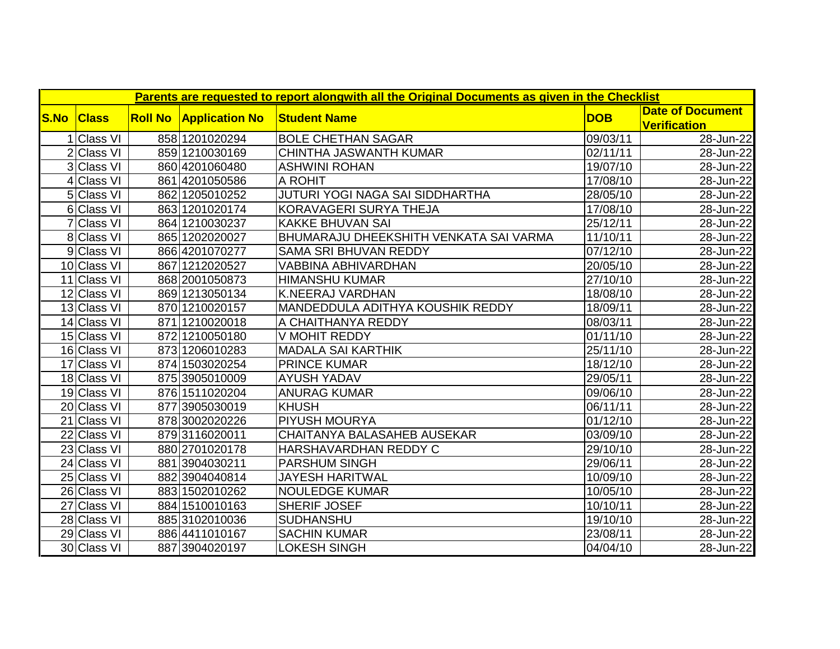|      | Parents are requested to report alongwith all the Original Documents as given in the Checklist |  |                               |                                        |            |                         |  |
|------|------------------------------------------------------------------------------------------------|--|-------------------------------|----------------------------------------|------------|-------------------------|--|
| S.No | <b>Class</b>                                                                                   |  | <b>Roll No Application No</b> | <b>Student Name</b>                    | <b>DOB</b> | <b>Date of Document</b> |  |
|      |                                                                                                |  |                               |                                        |            | <b>Verification</b>     |  |
|      | <b>Class VI</b>                                                                                |  | 858 1201020294                | <b>BOLE CHETHAN SAGAR</b>              | 09/03/11   | 28-Jun-22               |  |
|      | <b>Class VI</b>                                                                                |  | 859 1210030169                | CHINTHA JASWANTH KUMAR                 | 02/11/11   | 28-Jun-22               |  |
|      | 3 Class VI                                                                                     |  | 860 4201060480                | <b>ASHWINI ROHAN</b>                   | 19/07/10   | 28-Jun-22               |  |
|      | 4 Class VI                                                                                     |  | 861 4201050586                | A ROHIT                                | 17/08/10   | 28-Jun-22               |  |
|      | 5 Class VI                                                                                     |  | 862 1205010252                | JUTURI YOGI NAGA SAI SIDDHARTHA        | 28/05/10   | 28-Jun-22               |  |
|      | 6 Class VI                                                                                     |  | 863 1201020174                | KORAVAGERI SURYA THEJA                 | 17/08/10   | 28-Jun-22               |  |
|      | 7 Class VI                                                                                     |  | 864 1210030237                | <b>KAKKE BHUVAN SAI</b>                | 25/12/11   | 28-Jun-22               |  |
|      | 8 Class VI                                                                                     |  | 865 1202020027                | BHUMARAJU DHEEKSHITH VENKATA SAI VARMA | 11/10/11   | 28-Jun-22               |  |
|      | 9 Class VI                                                                                     |  | 866 4201070277                | <b>SAMA SRI BHUVAN REDDY</b>           | 07/12/10   | 28-Jun-22               |  |
|      | 10 Class VI                                                                                    |  | 867 1212020527                | <b>VABBINA ABHIVARDHAN</b>             | 20/05/10   | 28-Jun-22               |  |
|      | 11 Class VI                                                                                    |  | 868 2001050873                | <b>HIMANSHU KUMAR</b>                  | 27/10/10   | 28-Jun-22               |  |
|      | 12 Class VI                                                                                    |  | 869 1213050134                | <b>K.NEERAJ VARDHAN</b>                | 18/08/10   | 28-Jun-22               |  |
|      | 13 Class VI                                                                                    |  | 870 1210020157                | MANDEDDULA ADITHYA KOUSHIK REDDY       | 18/09/11   | 28-Jun-22               |  |
|      | 14 Class VI                                                                                    |  | 871 1210020018                | A CHAITHANYA REDDY                     | 08/03/11   | 28-Jun-22               |  |
|      | 15 Class VI                                                                                    |  | 872 1210050180                | V MOHIT REDDY                          | 01/11/10   | 28-Jun-22               |  |
|      | 16 Class VI                                                                                    |  | 873 1206010283                | <b>MADALA SAI KARTHIK</b>              | 25/11/10   | 28-Jun-22               |  |
|      | 17 Class VI                                                                                    |  | 874 1503020254                | <b>PRINCE KUMAR</b>                    | 18/12/10   | 28-Jun-22               |  |
|      | 18 Class VI                                                                                    |  | 875 3905010009                | <b>AYUSH YADAV</b>                     | 29/05/11   | 28-Jun-22               |  |
|      | 19 Class VI                                                                                    |  | 876 1511020204                | <b>ANURAG KUMAR</b>                    | 09/06/10   | 28-Jun-22               |  |
|      | 20 Class VI                                                                                    |  | 877 3905030019                | <b>KHUSH</b>                           | 06/11/11   | 28-Jun-22               |  |
|      | 21 Class VI                                                                                    |  | 878 3002020226                | <b>PIYUSH MOURYA</b>                   | 01/12/10   | 28-Jun-22               |  |
|      | 22 Class VI                                                                                    |  | 8793116020011                 | CHAITANYA BALASAHEB AUSEKAR            | 03/09/10   | 28-Jun-22               |  |
|      | 23 Class VI                                                                                    |  | 880 2701020178                | HARSHAVARDHAN REDDY C                  | 29/10/10   | 28-Jun-22               |  |
|      | 24 Class VI                                                                                    |  | 881 3904030211                | <b>PARSHUM SINGH</b>                   | 29/06/11   | 28-Jun-22               |  |
|      | 25 Class VI                                                                                    |  | 882 3904040814                | <b>JAYESH HARITWAL</b>                 | 10/09/10   | 28-Jun-22               |  |
|      | 26 Class VI                                                                                    |  | 883 1502010262                | <b>NOULEDGE KUMAR</b>                  | 10/05/10   | 28-Jun-22               |  |
|      | 27 Class VI                                                                                    |  | 884 1510010163                | <b>SHERIF JOSEF</b>                    | 10/10/11   | 28-Jun-22               |  |
|      | 28 Class VI                                                                                    |  | 885 3102010036                | SUDHANSHU                              | 19/10/10   | 28-Jun-22               |  |
|      | 29 Class VI                                                                                    |  | 886 4411010167                | <b>SACHIN KUMAR</b>                    | 23/08/11   | 28-Jun-22               |  |
|      | 30 Class VI                                                                                    |  | 887 3904020197                | <b>LOKESH SINGH</b>                    | 04/04/10   | 28-Jun-22               |  |